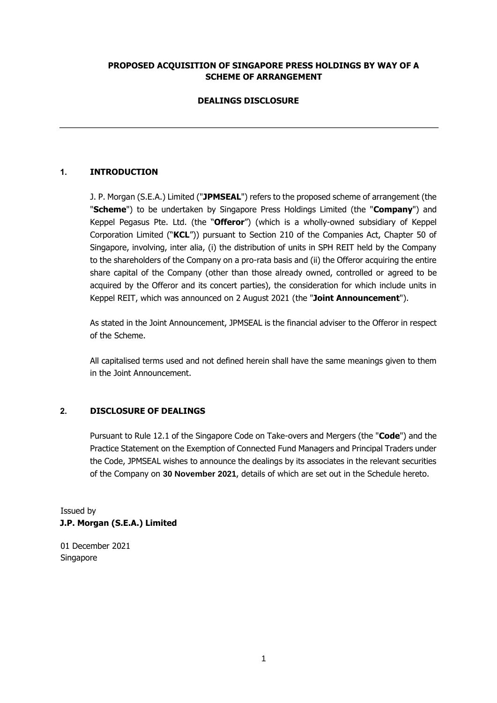#### **PROPOSED ACQUISITION OF SINGAPORE PRESS HOLDINGS BY WAY OF A SCHEME OF ARRANGEMENT**

# **DEALINGS DISCLOSURE**

# **1. INTRODUCTION**

J. P. Morgan (S.E.A.) Limited ("**JPMSEAL**") refers to the proposed scheme of arrangement (the "**Scheme**") to be undertaken by Singapore Press Holdings Limited (the "**Company**") and Keppel Pegasus Pte. Ltd. (the "**Offeror**") (which is a wholly-owned subsidiary of Keppel Corporation Limited ("**KCL**")) pursuant to Section 210 of the Companies Act, Chapter 50 of Singapore, involving, inter alia, (i) the distribution of units in SPH REIT held by the Company to the shareholders of the Company on a pro-rata basis and (ii) the Offeror acquiring the entire share capital of the Company (other than those already owned, controlled or agreed to be acquired by the Offeror and its concert parties), the consideration for which include units in Keppel REIT, which was announced on 2 August 2021 (the "**Joint Announcement**").

As stated in the Joint Announcement, JPMSEAL is the financial adviser to the Offeror in respect of the Scheme.

All capitalised terms used and not defined herein shall have the same meanings given to them in the Joint Announcement.

#### **2. DISCLOSURE OF DEALINGS**

Pursuant to Rule 12.1 of the Singapore Code on Take-overs and Mergers (the "**Code**") and the Practice Statement on the Exemption of Connected Fund Managers and Principal Traders under the Code, JPMSEAL wishes to announce the dealings by its associates in the relevant securities of the Company on **30 November 2021**, details of which are set out in the Schedule hereto.

Issued by **J.P. Morgan (S.E.A.) Limited** 

01 December 2021 Singapore